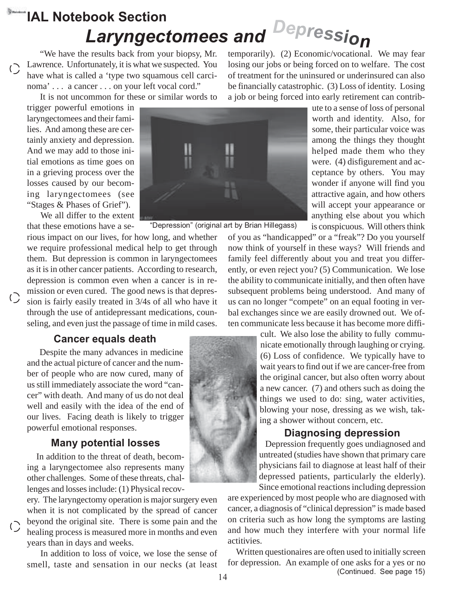# **IAL Notebook Section** *Laryngectomees and Depression*

"We have the results back from your biopsy, Mr. Lawrence. Unfortunately, it is what we suspected. You have what is called a 'type two squamous cell carcinoma' . . . a cancer . . . on your left vocal cord."

It is not uncommon for these or similar words to trigger powerful emotions in

laryngectomees and their families. And among these are certainly anxiety and depression. And we may add to those initial emotions as time goes on in a grieving process over the losses caused by our becoming laryngectomees (see "Stages & Phases of Grief").

 $\bigcirc$ 

 $\bigcirc$ 

We all differ to the extent that these emotions have a se-

rious impact on our lives, for how long, and whether we require professional medical help to get through them. But depression is common in laryngectomees as it is in other cancer patients. According to research, depression is common even when a cancer is in remission or even cured. The good news is that depression is fairly easily treated in 3/4s of all who have it through the use of antidepressant medications, counseling, and even just the passage of time in mild cases.

# **Cancer equals death**

Despite the many advances in medicine and the actual picture of cancer and the number of people who are now cured, many of us still immediately associate the word "cancer" with death. And many of us do not deal well and easily with the idea of the end of our lives. Facing death is likely to trigger powerful emotional responses.

# **Many potential losses**

In addition to the threat of death, becoming a laryngectomee also represents many other challenges. Some of these threats, challenges and losses include: (1) Physical recov-

ery. The laryngectomy operation is major surgery even when it is not complicated by the spread of cancer beyond the original site. There is some pain and the healing process is measured more in months and even years than in days and weeks.

In addition to loss of voice, we lose the sense of smell, taste and sensation in our necks (at least temporarily). (2) Economic/vocational. We may fear losing our jobs or being forced on to welfare. The cost of treatment for the uninsured or underinsured can also be financially catastrophic. (3) Loss of identity. Losing a job or being forced into early retirement can contrib-

> ute to a sense of loss of personal worth and identity. Also, for some, their particular voice was among the things they thought helped made them who they were. (4) disfigurement and acceptance by others. You may wonder if anyone will find you attractive again, and how others will accept your appearance or anything else about you which is conspicuous. Will others think

of you as "handicapped" or a "freak"? Do you yourself now think of yourself in these ways? Will friends and family feel differently about you and treat you differently, or even reject you? (5) Communication. We lose the ability to communicate initially, and then often have subsequent problems being understood. And many of us can no longer "compete" on an equal footing in verbal exchanges since we are easily drowned out. We often communicate less because it has become more diffi-

> cult. We also lose the ability to fully communicate emotionally through laughing or crying. (6) Loss of confidence. We typically have to wait years to find out if we are cancer-free from the original cancer, but also often worry about a new cancer. (7) and others such as doing the things we used to do: sing, water activities, blowing your nose, dressing as we wish, taking a shower without concern, etc.

#### **Diagnosing depression**

Depression frequently goes undiagnosed and untreated (studies have shown that primary care physicians fail to diagnose at least half of their depressed patients, particularly the elderly). Since emotional reactions including depression

are experienced by most people who are diagnosed with cancer, a diagnosis of "clinical depression" is made based on criteria such as how long the symptoms are lasting and how much they interfere with your normal life actitivies.

Written questionaires are often used to initially screen for depression. An example of one asks for a yes or no (Continued. See page 15)



14



"Depression" (original art by Brian Hillegass)